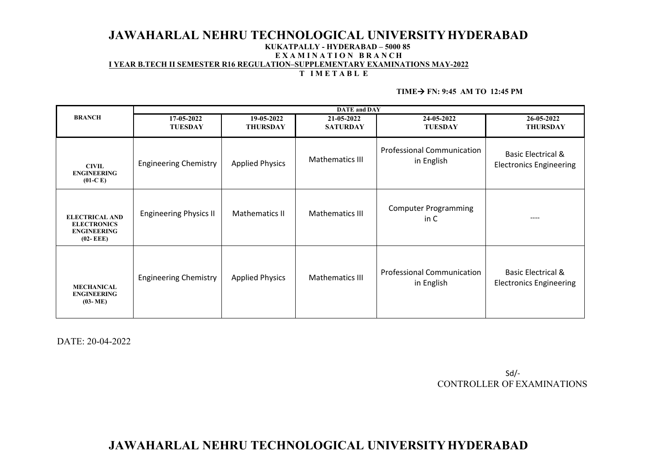## **JAWAHARLAL NEHRU TECHNOLOGICAL UNIVERSITYHYDERABAD**

## **KUKATPALLY - HYDERABAD – 5000 85**

#### **E X A M I N A T I O N B R A N C H I YEAR B.TECH II SEMESTER R16 REGULATION–SUPPLEMENTARY EXAMINATIONS MAY-2022**

### **T I M E T A B L E**

#### $TIME \rightarrow FN: 9:45 AM TO 12:45 PM$

|                                                                                   | <b>DATE</b> and <b>DAY</b>    |                               |                               |                                                 |                                                                 |  |
|-----------------------------------------------------------------------------------|-------------------------------|-------------------------------|-------------------------------|-------------------------------------------------|-----------------------------------------------------------------|--|
| <b>BRANCH</b>                                                                     | 17-05-2022<br><b>TUESDAY</b>  | 19-05-2022<br><b>THURSDAY</b> | 21-05-2022<br><b>SATURDAY</b> | 24-05-2022<br><b>TUESDAY</b>                    | 26-05-2022<br><b>THURSDAY</b>                                   |  |
| <b>CIVIL</b><br><b>ENGINEERING</b><br>$(01-C)$                                    | <b>Engineering Chemistry</b>  | <b>Applied Physics</b>        | Mathematics III               | <b>Professional Communication</b><br>in English | <b>Basic Electrical &amp;</b><br><b>Electronics Engineering</b> |  |
| <b>ELECTRICAL AND</b><br><b>ELECTRONICS</b><br><b>ENGINEERING</b><br>$(02 - EEE)$ | <b>Engineering Physics II</b> | Mathematics II                | Mathematics III               | <b>Computer Programming</b><br>in C             | ----                                                            |  |
| <b>MECHANICAL</b><br><b>ENGINEERING</b><br>$(03-ME)$                              | <b>Engineering Chemistry</b>  | <b>Applied Physics</b>        | Mathematics III               | <b>Professional Communication</b><br>in English | <b>Basic Electrical &amp;</b><br><b>Electronics Engineering</b> |  |

DATE: 20-04-2022

Sd/- CONTROLLER OF EXAMINATIONS

# **JAWAHARLAL NEHRU TECHNOLOGICAL UNIVERSITYHYDERABAD**